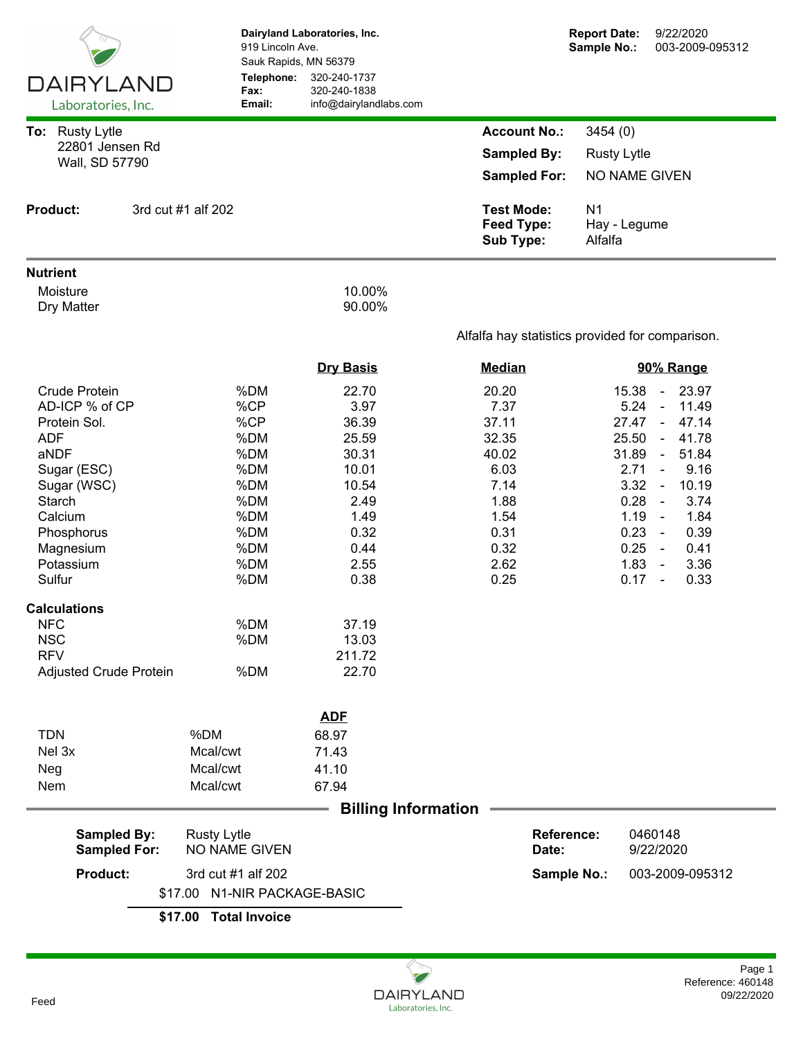|                                           |                                                       | Dairyland Laboratories, Inc.<br>919 Lincoln Ave.<br>Sauk Rapids, MN 56379 |                                                            | <b>Report Date:</b><br>Sample No.:        | 9/22/2020<br>003-2009-095312                |  |
|-------------------------------------------|-------------------------------------------------------|---------------------------------------------------------------------------|------------------------------------------------------------|-------------------------------------------|---------------------------------------------|--|
| <b>DAIRYLAND</b><br>Laboratories, Inc.    | Telephone:<br>Fax:<br>Email:                          | 320-240-1737<br>320-240-1838<br>info@dairylandlabs.com                    |                                                            |                                           |                                             |  |
| To: Rusty Lytle                           |                                                       |                                                                           | <b>Account No.:</b>                                        | 3454 (0)                                  |                                             |  |
| 22801 Jensen Rd                           |                                                       |                                                                           | <b>Sampled By:</b>                                         | <b>Rusty Lytle</b>                        |                                             |  |
| Wall, SD 57790                            |                                                       |                                                                           | <b>Sampled For:</b>                                        | NO NAME GIVEN                             |                                             |  |
|                                           |                                                       |                                                                           |                                                            |                                           |                                             |  |
| <b>Product:</b>                           | 3rd cut #1 alf 202                                    |                                                                           | <b>Test Mode:</b><br><b>Feed Type:</b><br><b>Sub Type:</b> | N <sub>1</sub><br>Hay - Legume<br>Alfalfa |                                             |  |
| <b>Nutrient</b>                           |                                                       |                                                                           |                                                            |                                           |                                             |  |
| Moisture<br>Dry Matter                    |                                                       | 10.00%<br>90.00%                                                          |                                                            |                                           |                                             |  |
|                                           |                                                       |                                                                           | Alfalfa hay statistics provided for comparison.            |                                           |                                             |  |
|                                           |                                                       | <b>Dry Basis</b>                                                          | <b>Median</b>                                              |                                           | 90% Range                                   |  |
| <b>Crude Protein</b>                      | %DM                                                   | 22.70                                                                     | 20.20                                                      | 15.38                                     | 23.97<br>$\sim$                             |  |
| AD-ICP % of CP                            | %CP                                                   | 3.97                                                                      | 7.37                                                       | 5.24                                      | 11.49<br>$\omega$                           |  |
| Protein Sol.                              | %CP                                                   | 36.39                                                                     | 37.11                                                      | 27.47                                     | $\sim$<br>47.14                             |  |
| <b>ADF</b>                                | %DM                                                   | 25.59                                                                     | 32.35                                                      | 25.50                                     | 41.78<br>$\sim$                             |  |
| aNDF                                      | %DM<br>%DM                                            | 30.31<br>10.01                                                            | 40.02<br>6.03                                              | 31.89<br>2.71                             | 51.84<br>$\blacksquare$<br>9.16<br>$\omega$ |  |
| Sugar (ESC)<br>Sugar (WSC)                | %DM                                                   | 10.54                                                                     | 7.14                                                       | 3.32                                      | 10.19<br>$\sim$                             |  |
| Starch                                    | %DM                                                   | 2.49                                                                      | 1.88                                                       | 0.28                                      | 3.74<br>$\sim$                              |  |
| Calcium                                   | %DM                                                   | 1.49                                                                      | 1.54                                                       | 1.19                                      | 1.84<br>$\sim$                              |  |
| Phosphorus                                | %DM                                                   | 0.32                                                                      | 0.31                                                       | 0.23                                      | 0.39<br>$\sim$                              |  |
| Magnesium                                 | %DM                                                   | 0.44                                                                      | 0.32                                                       | 0.25                                      | 0.41<br>$\sim$                              |  |
| Potassium                                 | %DM                                                   | 2.55                                                                      | 2.62                                                       | 1.83                                      | 3.36<br>$\sim$                              |  |
| Sulfur                                    | %DM                                                   | 0.38                                                                      | 0.25                                                       | 0.17                                      | 0.33<br>$\sim$                              |  |
| <b>Calculations</b>                       |                                                       |                                                                           |                                                            |                                           |                                             |  |
| <b>NFC</b>                                | %DM                                                   | 37.19                                                                     |                                                            |                                           |                                             |  |
| <b>NSC</b>                                | %DM                                                   | 13.03                                                                     |                                                            |                                           |                                             |  |
| <b>RFV</b>                                | %DM                                                   | 211.72<br>22.70                                                           |                                                            |                                           |                                             |  |
| Adjusted Crude Protein                    |                                                       |                                                                           |                                                            |                                           |                                             |  |
|                                           |                                                       | <b>ADF</b>                                                                |                                                            |                                           |                                             |  |
| <b>TDN</b>                                | %DM                                                   | 68.97                                                                     |                                                            |                                           |                                             |  |
| Nel 3x                                    | Mcal/cwt                                              | 71.43                                                                     |                                                            |                                           |                                             |  |
| Neg                                       | Mcal/cwt                                              | 41.10                                                                     |                                                            |                                           |                                             |  |
| Nem                                       | Mcal/cwt                                              | 67.94                                                                     |                                                            |                                           |                                             |  |
|                                           |                                                       | <b>Billing Information</b>                                                |                                                            |                                           |                                             |  |
| <b>Sampled By:</b><br><b>Sampled For:</b> | <b>Rusty Lytle</b><br>NO NAME GIVEN                   |                                                                           | <b>Reference:</b><br>Date:                                 |                                           | 0460148<br>9/22/2020                        |  |
| <b>Product:</b>                           |                                                       | Sample No.:                                                               | 003-2009-095312                                            |                                           |                                             |  |
|                                           | 3rd cut #1 alf 202<br>N1-NIR PACKAGE-BASIC<br>\$17.00 |                                                                           |                                                            |                                           |                                             |  |
|                                           | <b>Total Invoice</b><br>\$17.00                       |                                                                           |                                                            |                                           |                                             |  |

 $\sim$ Q